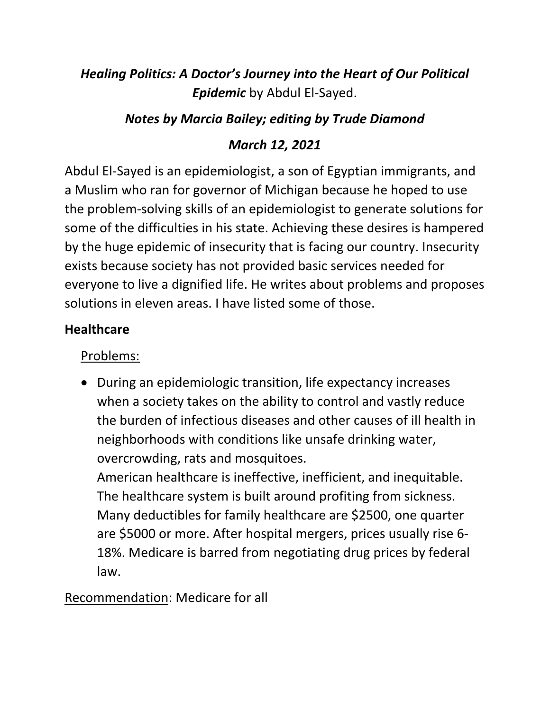# *Healing Politics: A Doctor's Journey into the Heart of Our Political Epidemic* by Abdul El-Sayed.

# *Notes by Marcia Bailey; editing by Trude Diamond*

# *March 12, 2021*

Abdul El-Sayed is an epidemiologist, a son of Egyptian immigrants, and a Muslim who ran for governor of Michigan because he hoped to use the problem-solving skills of an epidemiologist to generate solutions for some of the difficulties in his state. Achieving these desires is hampered by the huge epidemic of insecurity that is facing our country. Insecurity exists because society has not provided basic services needed for everyone to live a dignified life. He writes about problems and proposes solutions in eleven areas. I have listed some of those.

### **Healthcare**

# Problems:

• During an epidemiologic transition, life expectancy increases when a society takes on the ability to control and vastly reduce the burden of infectious diseases and other causes of ill health in neighborhoods with conditions like unsafe drinking water, overcrowding, rats and mosquitoes.

American healthcare is ineffective, inefficient, and inequitable. The healthcare system is built around profiting from sickness. Many deductibles for family healthcare are \$2500, one quarter are \$5000 or more. After hospital mergers, prices usually rise 6- 18%. Medicare is barred from negotiating drug prices by federal law.

# Recommendation: Medicare for all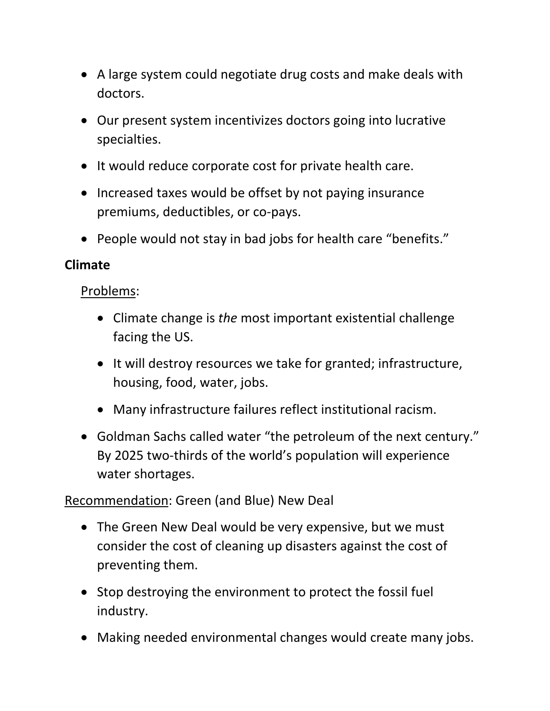- A large system could negotiate drug costs and make deals with doctors.
- Our present system incentivizes doctors going into lucrative specialties.
- It would reduce corporate cost for private health care.
- Increased taxes would be offset by not paying insurance premiums, deductibles, or co-pays.
- People would not stay in bad jobs for health care "benefits."

#### **Climate**

Problems:

- Climate change is *the* most important existential challenge facing the US.
- It will destroy resources we take for granted; infrastructure, housing, food, water, jobs.
- Many infrastructure failures reflect institutional racism.
- Goldman Sachs called water "the petroleum of the next century." By 2025 two-thirds of the world's population will experience water shortages.

Recommendation: Green (and Blue) New Deal

- The Green New Deal would be very expensive, but we must consider the cost of cleaning up disasters against the cost of preventing them.
- Stop destroying the environment to protect the fossil fuel industry.
- Making needed environmental changes would create many jobs.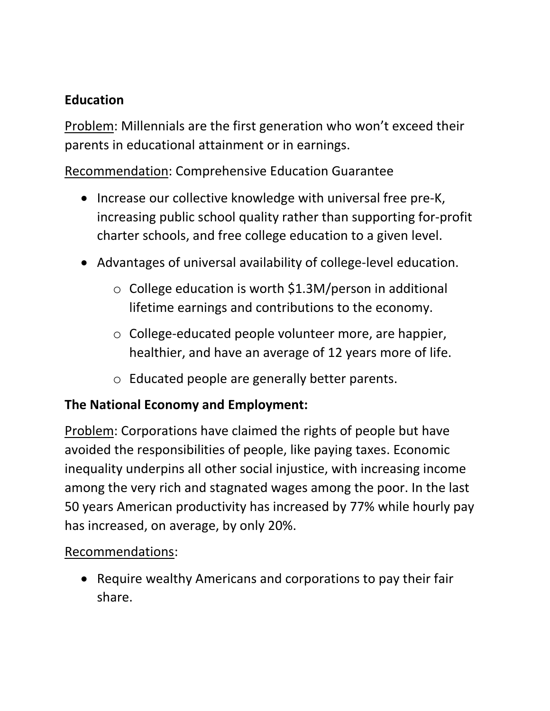### **Education**

Problem: Millennials are the first generation who won't exceed their parents in educational attainment or in earnings.

Recommendation: Comprehensive Education Guarantee

- Increase our collective knowledge with universal free pre-K, increasing public school quality rather than supporting for-profit charter schools, and free college education to a given level.
- Advantages of universal availability of college-level education.
	- o College education is worth \$1.3M/person in additional lifetime earnings and contributions to the economy.
	- o College-educated people volunteer more, are happier, healthier, and have an average of 12 years more of life.
	- o Educated people are generally better parents.

### **The National Economy and Employment:**

Problem: Corporations have claimed the rights of people but have avoided the responsibilities of people, like paying taxes. Economic inequality underpins all other social injustice, with increasing income among the very rich and stagnated wages among the poor. In the last 50 years American productivity has increased by 77% while hourly pay has increased, on average, by only 20%.

### Recommendations:

• Require wealthy Americans and corporations to pay their fair share.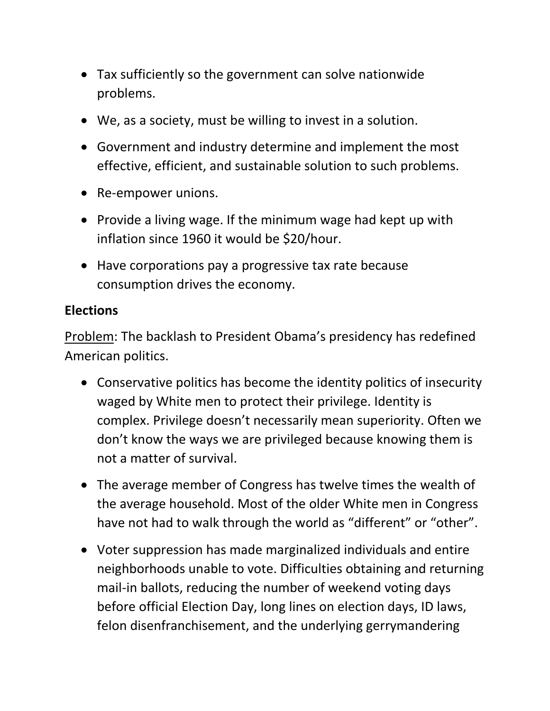- Tax sufficiently so the government can solve nationwide problems.
- We, as a society, must be willing to invest in a solution.
- Government and industry determine and implement the most effective, efficient, and sustainable solution to such problems.
- Re-empower unions.
- Provide a living wage. If the minimum wage had kept up with inflation since 1960 it would be \$20/hour.
- Have corporations pay a progressive tax rate because consumption drives the economy.

#### **Elections**

Problem: The backlash to President Obama's presidency has redefined American politics.

- Conservative politics has become the identity politics of insecurity waged by White men to protect their privilege. Identity is complex. Privilege doesn't necessarily mean superiority. Often we don't know the ways we are privileged because knowing them is not a matter of survival.
- The average member of Congress has twelve times the wealth of the average household. Most of the older White men in Congress have not had to walk through the world as "different" or "other".
- Voter suppression has made marginalized individuals and entire neighborhoods unable to vote. Difficulties obtaining and returning mail-in ballots, reducing the number of weekend voting days before official Election Day, long lines on election days, ID laws, felon disenfranchisement, and the underlying gerrymandering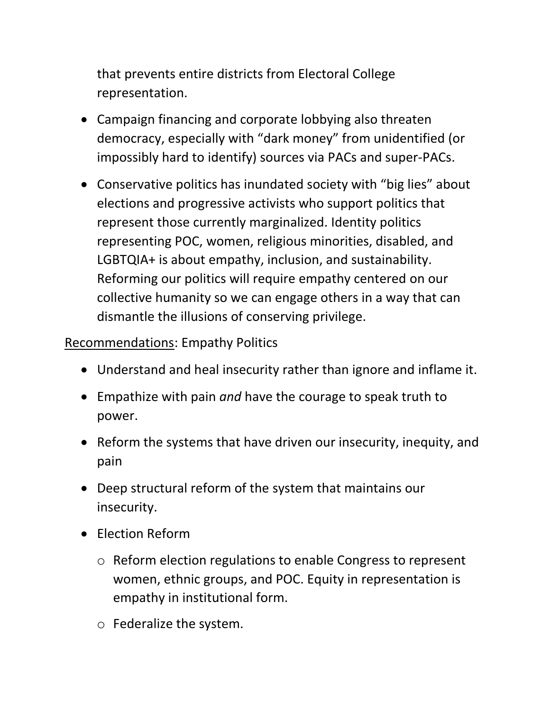that prevents entire districts from Electoral College representation.

- Campaign financing and corporate lobbying also threaten democracy, especially with "dark money" from unidentified (or impossibly hard to identify) sources via PACs and super-PACs.
- Conservative politics has inundated society with "big lies" about elections and progressive activists who support politics that represent those currently marginalized. Identity politics representing POC, women, religious minorities, disabled, and LGBTQIA+ is about empathy, inclusion, and sustainability. Reforming our politics will require empathy centered on our collective humanity so we can engage others in a way that can dismantle the illusions of conserving privilege.

#### Recommendations: Empathy Politics

- Understand and heal insecurity rather than ignore and inflame it.
- Empathize with pain *and* have the courage to speak truth to power.
- Reform the systems that have driven our insecurity, inequity, and pain
- Deep structural reform of the system that maintains our insecurity.
- Election Reform
	- o Reform election regulations to enable Congress to represent women, ethnic groups, and POC. Equity in representation is empathy in institutional form.
	- o Federalize the system.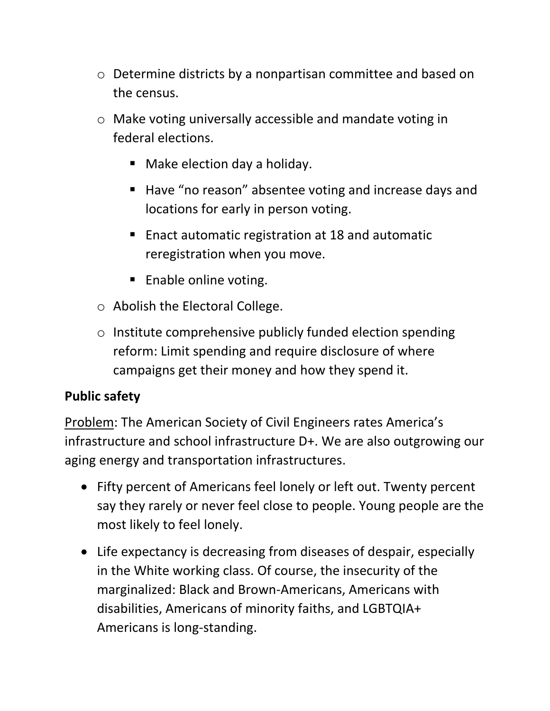- o Determine districts by a nonpartisan committee and based on the census.
- o Make voting universally accessible and mandate voting in federal elections.
	- Make election day a holiday.
	- Have "no reason" absentee voting and increase days and locations for early in person voting.
	- Enact automatic registration at 18 and automatic reregistration when you move.
	- Enable online voting.
- o Abolish the Electoral College.
- o Institute comprehensive publicly funded election spending reform: Limit spending and require disclosure of where campaigns get their money and how they spend it.

# **Public safety**

Problem: The American Society of Civil Engineers rates America's infrastructure and school infrastructure D+. We are also outgrowing our aging energy and transportation infrastructures.

- Fifty percent of Americans feel lonely or left out. Twenty percent say they rarely or never feel close to people. Young people are the most likely to feel lonely.
- Life expectancy is decreasing from diseases of despair, especially in the White working class. Of course, the insecurity of the marginalized: Black and Brown-Americans, Americans with disabilities, Americans of minority faiths, and LGBTQIA+ Americans is long-standing.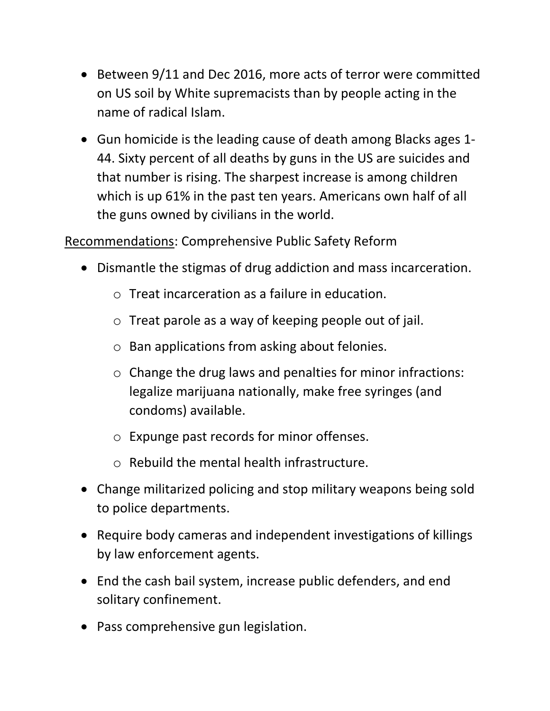- Between 9/11 and Dec 2016, more acts of terror were committed on US soil by White supremacists than by people acting in the name of radical Islam.
- Gun homicide is the leading cause of death among Blacks ages 1- 44. Sixty percent of all deaths by guns in the US are suicides and that number is rising. The sharpest increase is among children which is up 61% in the past ten years. Americans own half of all the guns owned by civilians in the world.

Recommendations: Comprehensive Public Safety Reform

- Dismantle the stigmas of drug addiction and mass incarceration.
	- o Treat incarceration as a failure in education.
	- o Treat parole as a way of keeping people out of jail.
	- o Ban applications from asking about felonies.
	- o Change the drug laws and penalties for minor infractions: legalize marijuana nationally, make free syringes (and condoms) available.
	- o Expunge past records for minor offenses.
	- o Rebuild the mental health infrastructure.
- Change militarized policing and stop military weapons being sold to police departments.
- Require body cameras and independent investigations of killings by law enforcement agents.
- End the cash bail system, increase public defenders, and end solitary confinement.
- Pass comprehensive gun legislation.